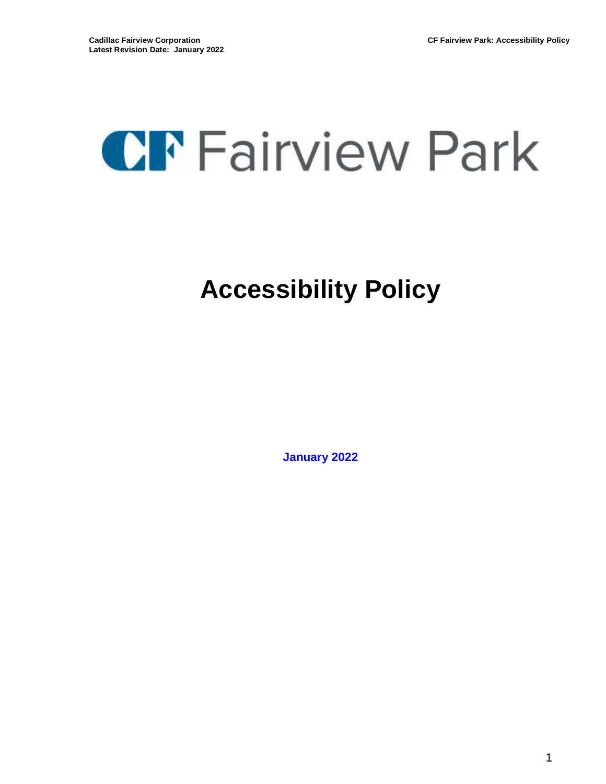# **CF** Fairview Park

# **Accessibility Policy**

**January 2022**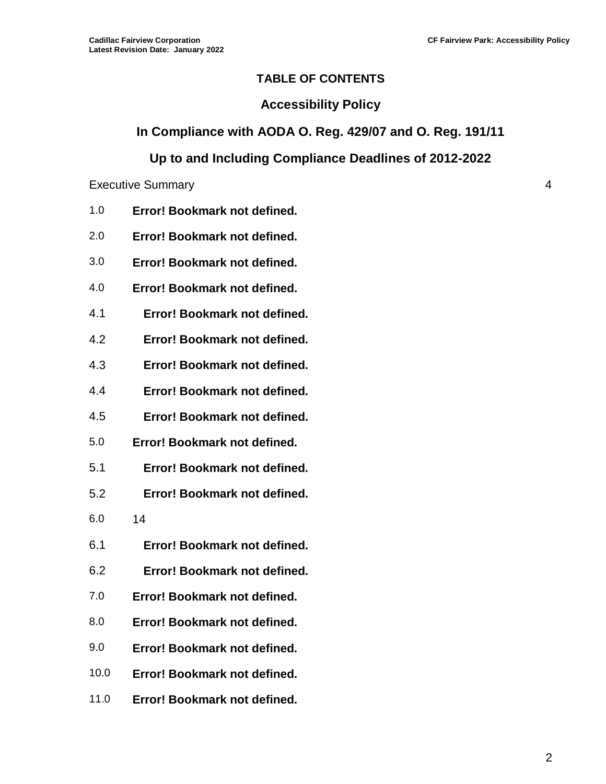#### **TABLE OF CONTENTS**

#### **Accessibility Policy**

#### **In Compliance with AODA O. Reg. 429/07 and O. Reg. 191/11**

# **Up to and Including Compliance Deadlines of 2012-2022**

#### Executive Summary 4

- 1.0 **Error! Bookmark not defined.**
- 2.0 **Error! Bookmark not defined.**
- 3.0 **Error! Bookmark not defined.**
- 4.0 **Error! Bookmark not defined.**
- 4.1 **Error! Bookmark not defined.**
- 4.2 **Error! Bookmark not defined.**
- 4.3 **Error! Bookmark not defined.**
- 4.4 **Error! Bookmark not defined.**
- 4.5 **Error! Bookmark not defined.**
- 5.0 **Error! Bookmark not defined.**
- 5.1 **Error! Bookmark not defined.**
- 5.2 **Error! Bookmark not defined.**
- [6.0](#page-13-0) 14
- 6.1 **Error! Bookmark not defined.**
- 6.2 **Error! Bookmark not defined.**
- 7.0 **Error! Bookmark not defined.**
- 8.0 **Error! Bookmark not defined.**
- 9.0 **Error! Bookmark not defined.**
- 10.0 **Error! Bookmark not defined.**
- 11.0 **Error! Bookmark not defined.**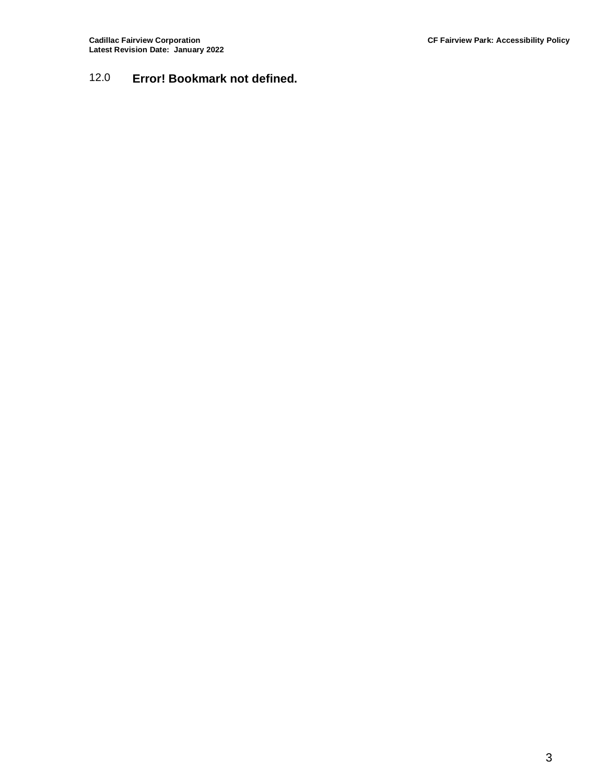# 12.0 **Error! Bookmark not defined.**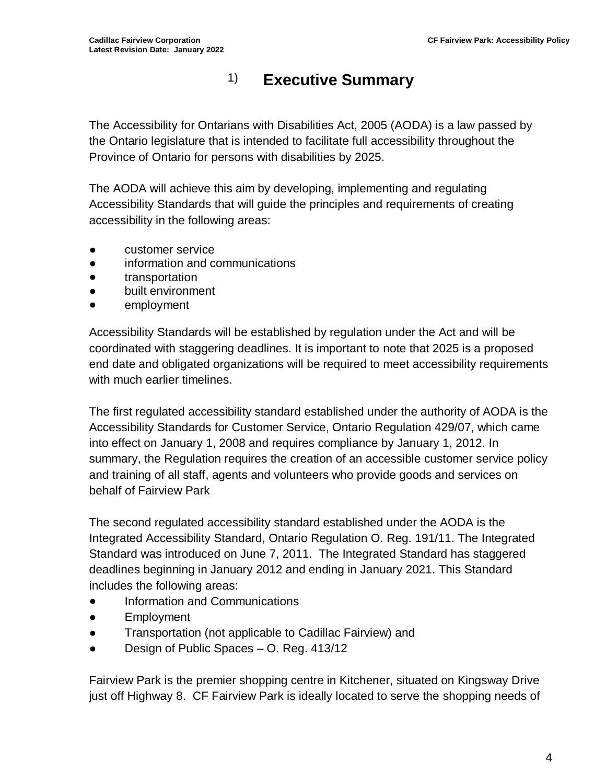# 1) **Executive Summary**

The Accessibility for Ontarians with Disabilities Act, 2005 (AODA) is a law passed by the Ontario legislature that is intended to facilitate full accessibility throughout the Province of Ontario for persons with disabilities by 2025.

The AODA will achieve this aim by developing, implementing and regulating Accessibility Standards that will guide the principles and requirements of creating accessibility in the following areas:

- customer service
- information and communications
- transportation
- built environment
- employment

Accessibility Standards will be established by regulation under the Act and will be coordinated with staggering deadlines. It is important to note that 2025 is a proposed end date and obligated organizations will be required to meet accessibility requirements with much earlier timelines.

The first regulated accessibility standard established under the authority of AODA is the Accessibility Standards for Customer Service, Ontario Regulation 429/07, which came into effect on January 1, 2008 and requires compliance by January 1, 2012. In summary, the Regulation requires the creation of an accessible customer service policy and training of all staff, agents and volunteers who provide goods and services on behalf of Fairview Park

The second regulated accessibility standard established under the AODA is the Integrated Accessibility Standard, Ontario Regulation O. Reg. 191/11. The Integrated Standard was introduced on June 7, 2011. The Integrated Standard has staggered deadlines beginning in January 2012 and ending in January 2021. This Standard includes the following areas:

- Information and Communications
- Employment
- Transportation (not applicable to Cadillac Fairview) and
- Design of Public Spaces O. Reg. 413/12

Fairview Park is the premier shopping centre in Kitchener, situated on Kingsway Drive just off Highway 8. CF Fairview Park is ideally located to serve the shopping needs of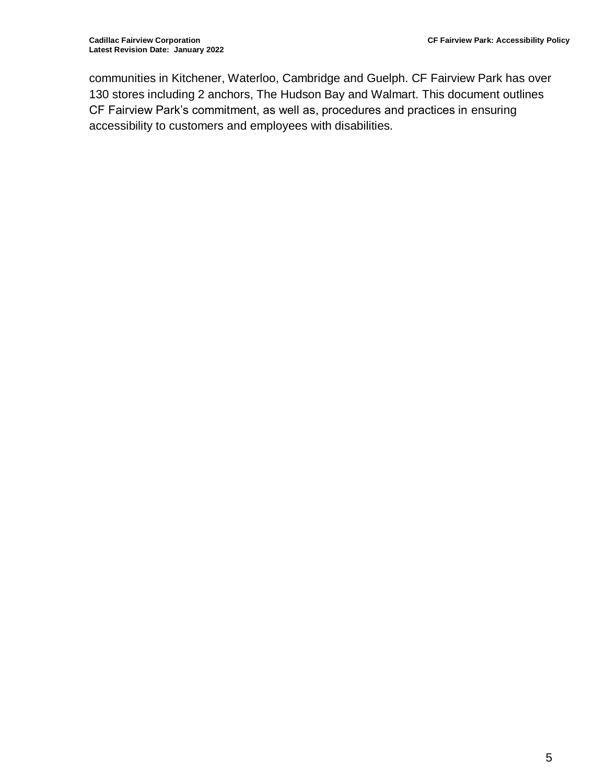communities in Kitchener, Waterloo, Cambridge and Guelph. CF Fairview Park has over 130 stores including 2 anchors, The Hudson Bay and Walmart. This document outlines CF Fairview Park's commitment, as well as, procedures and practices in ensuring accessibility to customers and employees with disabilities.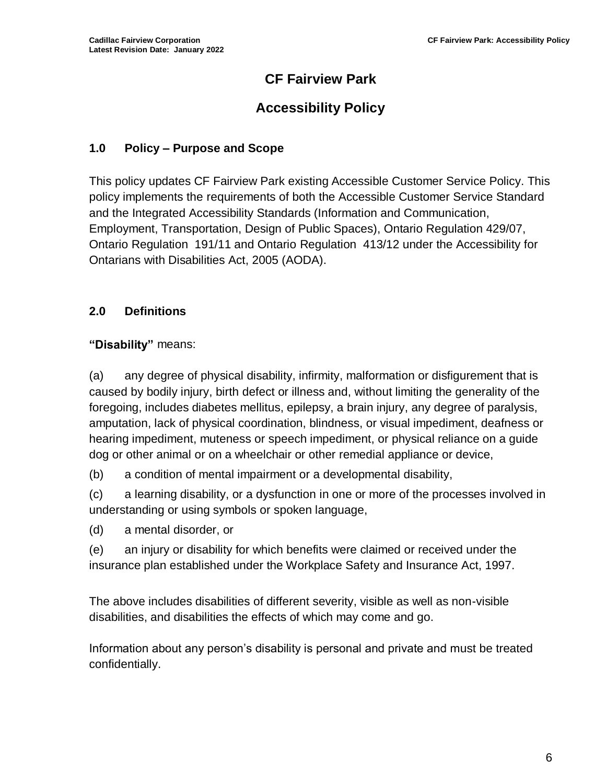# **CF Fairview Park**

# **Accessibility Policy**

# **1.0 Policy – Purpose and Scope**

This policy updates CF Fairview Park existing Accessible Customer Service Policy. This policy implements the requirements of both the Accessible Customer Service Standard and the Integrated Accessibility Standards (Information and Communication, Employment, Transportation, Design of Public Spaces), Ontario Regulation 429/07, Ontario Regulation 191/11 and Ontario Regulation 413/12 under the Accessibility for Ontarians with Disabilities Act, 2005 (AODA).

# **2.0 Definitions**

# **"Disability"** means:

(a) any degree of physical disability, infirmity, malformation or disfigurement that is caused by bodily injury, birth defect or illness and, without limiting the generality of the foregoing, includes diabetes mellitus, epilepsy, a brain injury, any degree of paralysis, amputation, lack of physical coordination, blindness, or visual impediment, deafness or hearing impediment, muteness or speech impediment, or physical reliance on a guide dog or other animal or on a wheelchair or other remedial appliance or device,

(b) a condition of mental impairment or a developmental disability,

(c) a learning disability, or a dysfunction in one or more of the processes involved in understanding or using symbols or spoken language,

(d) a mental disorder, or

(e) an injury or disability for which benefits were claimed or received under the insurance plan established under the Workplace Safety and Insurance Act, 1997.

The above includes disabilities of different severity, visible as well as non-visible disabilities, and disabilities the effects of which may come and go.

Information about any person's disability is personal and private and must be treated confidentially.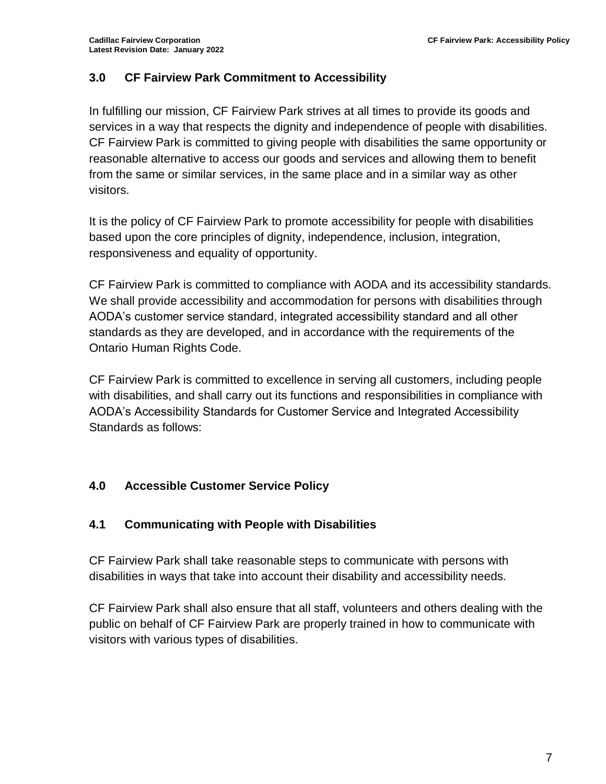# **3.0 CF Fairview Park Commitment to Accessibility**

In fulfilling our mission, CF Fairview Park strives at all times to provide its goods and services in a way that respects the dignity and independence of people with disabilities. CF Fairview Park is committed to giving people with disabilities the same opportunity or reasonable alternative to access our goods and services and allowing them to benefit from the same or similar services, in the same place and in a similar way as other visitors.

It is the policy of CF Fairview Park to promote accessibility for people with disabilities based upon the core principles of dignity, independence, inclusion, integration, responsiveness and equality of opportunity.

CF Fairview Park is committed to compliance with AODA and its accessibility standards. We shall provide accessibility and accommodation for persons with disabilities through AODA's customer service standard, integrated accessibility standard and all other standards as they are developed, and in accordance with the requirements of the Ontario Human Rights Code.

CF Fairview Park is committed to excellence in serving all customers, including people with disabilities, and shall carry out its functions and responsibilities in compliance with AODA's Accessibility Standards for Customer Service and Integrated Accessibility Standards as follows:

# **4.0 Accessible Customer Service Policy**

### **4.1 Communicating with People with Disabilities**

CF Fairview Park shall take reasonable steps to communicate with persons with disabilities in ways that take into account their disability and accessibility needs.

CF Fairview Park shall also ensure that all staff, volunteers and others dealing with the public on behalf of CF Fairview Park are properly trained in how to communicate with visitors with various types of disabilities.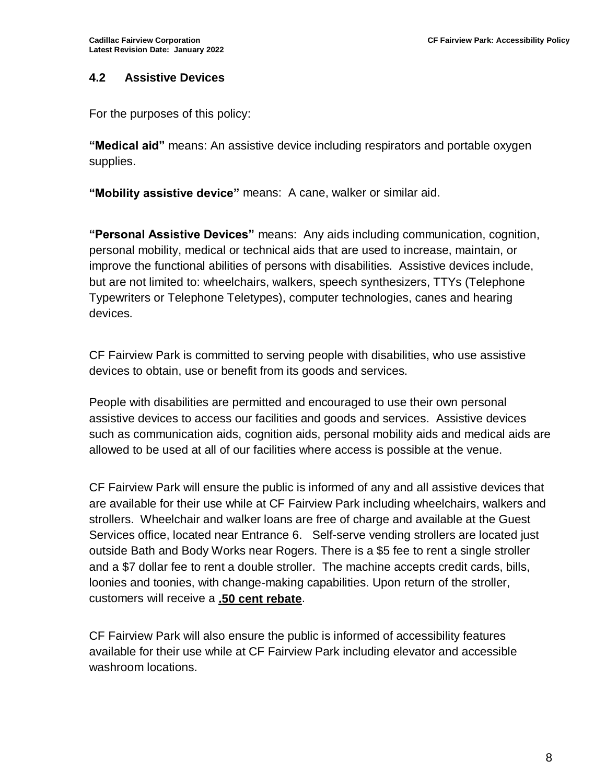#### **4.2 Assistive Devices**

For the purposes of this policy:

**"Medical aid"** means: An assistive device including respirators and portable oxygen supplies.

**"Mobility assistive device"** means: A cane, walker or similar aid.

**"Personal Assistive Devices"** means: Any aids including communication, cognition, personal mobility, medical or technical aids that are used to increase, maintain, or improve the functional abilities of persons with disabilities. Assistive devices include, but are not limited to: wheelchairs, walkers, speech synthesizers, TTYs (Telephone Typewriters or Telephone Teletypes), computer technologies, canes and hearing devices.

CF Fairview Park is committed to serving people with disabilities, who use assistive devices to obtain, use or benefit from its goods and services.

People with disabilities are permitted and encouraged to use their own personal assistive devices to access our facilities and goods and services. Assistive devices such as communication aids, cognition aids, personal mobility aids and medical aids are allowed to be used at all of our facilities where access is possible at the venue.

CF Fairview Park will ensure the public is informed of any and all assistive devices that are available for their use while at CF Fairview Park including wheelchairs, walkers and strollers. Wheelchair and walker loans are free of charge and available at the Guest Services office, located near Entrance 6. Self-serve vending strollers are located just outside Bath and Body Works near Rogers. There is a \$5 fee to rent a single stroller and a \$7 dollar fee to rent a double stroller. The machine accepts credit cards, bills, loonies and toonies, with change-making capabilities. Upon return of the stroller, customers will receive a **.50 cent rebate**.

CF Fairview Park will also ensure the public is informed of accessibility features available for their use while at CF Fairview Park including elevator and accessible washroom locations.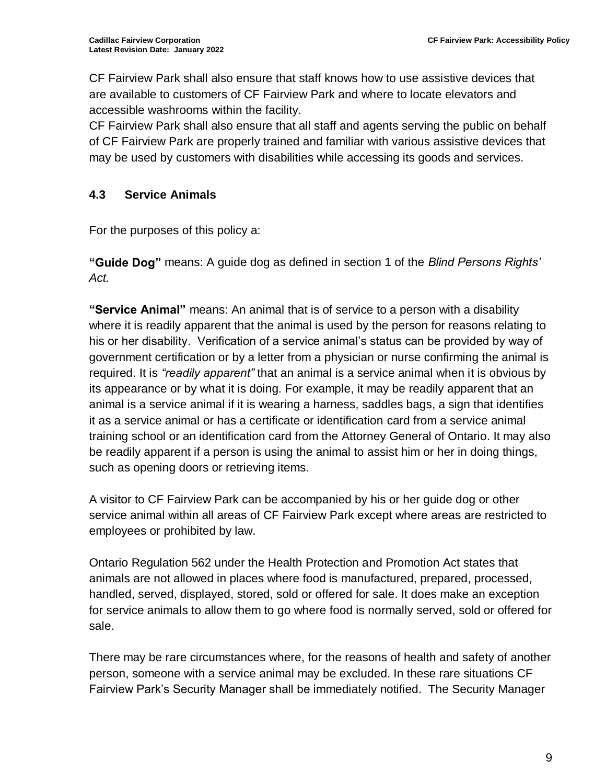CF Fairview Park shall also ensure that staff knows how to use assistive devices that are available to customers of CF Fairview Park and where to locate elevators and accessible washrooms within the facility.

CF Fairview Park shall also ensure that all staff and agents serving the public on behalf of CF Fairview Park are properly trained and familiar with various assistive devices that may be used by customers with disabilities while accessing its goods and services.

# **4.3 Service Animals**

For the purposes of this policy a:

**"Guide Dog"** means: A guide dog as defined in section 1 of the *Blind Persons Rights' Act.*

**"Service Animal"** means: An animal that is of service to a person with a disability where it is readily apparent that the animal is used by the person for reasons relating to his or her disability. Verification of a service animal's status can be provided by way of government certification or by a letter from a physician or nurse confirming the animal is required. It is *"readily apparent"* that an animal is a service animal when it is obvious by its appearance or by what it is doing. For example, it may be readily apparent that an animal is a service animal if it is wearing a harness, saddles bags, a sign that identifies it as a service animal or has a certificate or identification card from a service animal training school or an identification card from the Attorney General of Ontario. It may also be readily apparent if a person is using the animal to assist him or her in doing things, such as opening doors or retrieving items.

A visitor to CF Fairview Park can be accompanied by his or her guide dog or other service animal within all areas of CF Fairview Park except where areas are restricted to employees or prohibited by law.

Ontario Regulation 562 under the Health Protection and Promotion Act states that animals are not allowed in places where food is manufactured, prepared, processed, handled, served, displayed, stored, sold or offered for sale. It does make an exception for service animals to allow them to go where food is normally served, sold or offered for sale.

There may be rare circumstances where, for the reasons of health and safety of another person, someone with a service animal may be excluded. In these rare situations CF Fairview Park's Security Manager shall be immediately notified. The Security Manager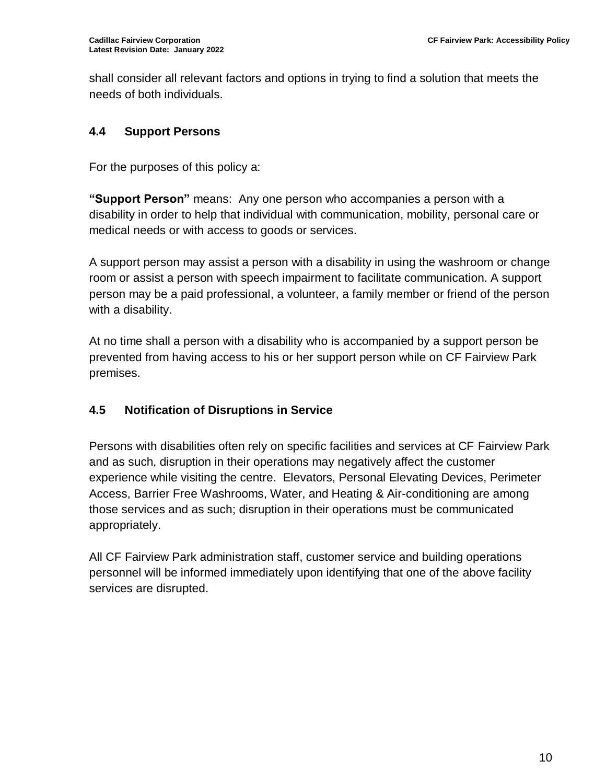shall consider all relevant factors and options in trying to find a solution that meets the needs of both individuals.

# **4.4 Support Persons**

For the purposes of this policy a:

**"Support Person"** means: Any one person who accompanies a person with a disability in order to help that individual with communication, mobility, personal care or medical needs or with access to goods or services.

A support person may assist a person with a disability in using the washroom or change room or assist a person with speech impairment to facilitate communication. A support person may be a paid professional, a volunteer, a family member or friend of the person with a disability.

At no time shall a person with a disability who is accompanied by a support person be prevented from having access to his or her support person while on CF Fairview Park premises.

# **4.5 Notification of Disruptions in Service**

Persons with disabilities often rely on specific facilities and services at CF Fairview Park and as such, disruption in their operations may negatively affect the customer experience while visiting the centre. Elevators, Personal Elevating Devices, Perimeter Access, Barrier Free Washrooms, Water, and Heating & Air-conditioning are among those services and as such; disruption in their operations must be communicated appropriately.

All CF Fairview Park administration staff, customer service and building operations personnel will be informed immediately upon identifying that one of the above facility services are disrupted.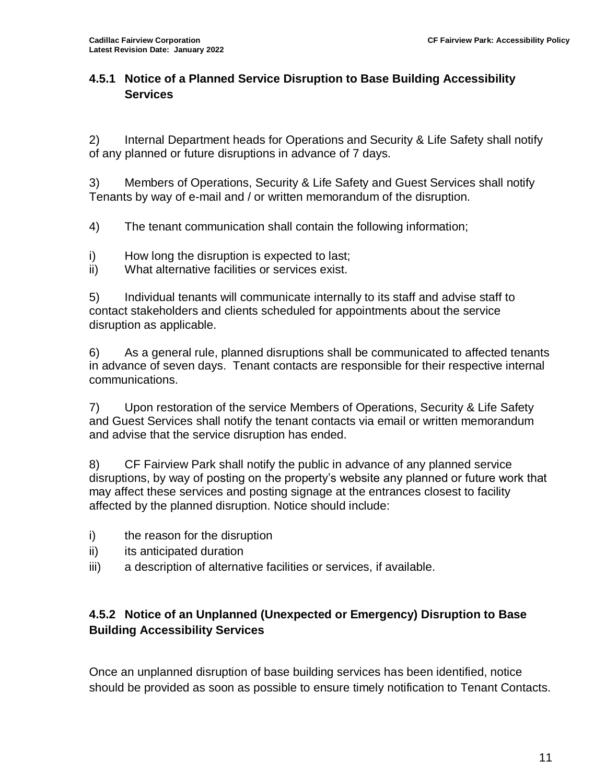# **4.5.1 Notice of a Planned Service Disruption to Base Building Accessibility Services**

2) Internal Department heads for Operations and Security & Life Safety shall notify of any planned or future disruptions in advance of 7 days.

3) Members of Operations, Security & Life Safety and Guest Services shall notify Tenants by way of e-mail and / or written memorandum of the disruption.

4) The tenant communication shall contain the following information;

- i) How long the disruption is expected to last;
- ii) What alternative facilities or services exist.

5) Individual tenants will communicate internally to its staff and advise staff to contact stakeholders and clients scheduled for appointments about the service disruption as applicable.

6) As a general rule, planned disruptions shall be communicated to affected tenants in advance of seven days. Tenant contacts are responsible for their respective internal communications.

7) Upon restoration of the service Members of Operations, Security & Life Safety and Guest Services shall notify the tenant contacts via email or written memorandum and advise that the service disruption has ended.

8) CF Fairview Park shall notify the public in advance of any planned service disruptions, by way of posting on the property's website any planned or future work that may affect these services and posting signage at the entrances closest to facility affected by the planned disruption. Notice should include:

- i) the reason for the disruption
- ii) its anticipated duration
- iii) a description of alternative facilities or services, if available.

# **4.5.2 Notice of an Unplanned (Unexpected or Emergency) Disruption to Base Building Accessibility Services**

Once an unplanned disruption of base building services has been identified, notice should be provided as soon as possible to ensure timely notification to Tenant Contacts.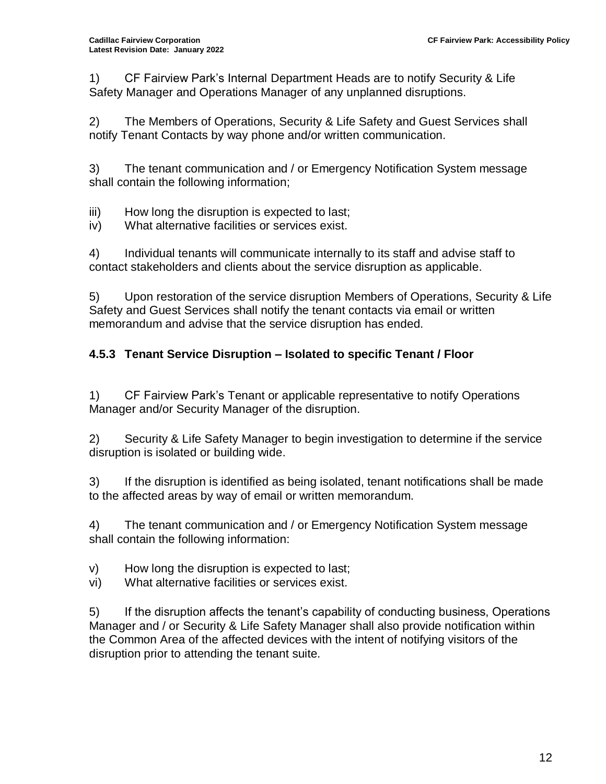1) CF Fairview Park's Internal Department Heads are to notify Security & Life Safety Manager and Operations Manager of any unplanned disruptions.

2) The Members of Operations, Security & Life Safety and Guest Services shall notify Tenant Contacts by way phone and/or written communication.

3) The tenant communication and / or Emergency Notification System message shall contain the following information;

iii) How long the disruption is expected to last;

iv) What alternative facilities or services exist.

4) Individual tenants will communicate internally to its staff and advise staff to contact stakeholders and clients about the service disruption as applicable.

5) Upon restoration of the service disruption Members of Operations, Security & Life Safety and Guest Services shall notify the tenant contacts via email or written memorandum and advise that the service disruption has ended.

# **4.5.3 Tenant Service Disruption – Isolated to specific Tenant / Floor**

1) CF Fairview Park's Tenant or applicable representative to notify Operations Manager and/or Security Manager of the disruption.

2) Security & Life Safety Manager to begin investigation to determine if the service disruption is isolated or building wide.

3) If the disruption is identified as being isolated, tenant notifications shall be made to the affected areas by way of email or written memorandum.

4) The tenant communication and / or Emergency Notification System message shall contain the following information:

v) How long the disruption is expected to last;

vi) What alternative facilities or services exist.

5) If the disruption affects the tenant's capability of conducting business, Operations Manager and / or Security & Life Safety Manager shall also provide notification within the Common Area of the affected devices with the intent of notifying visitors of the disruption prior to attending the tenant suite.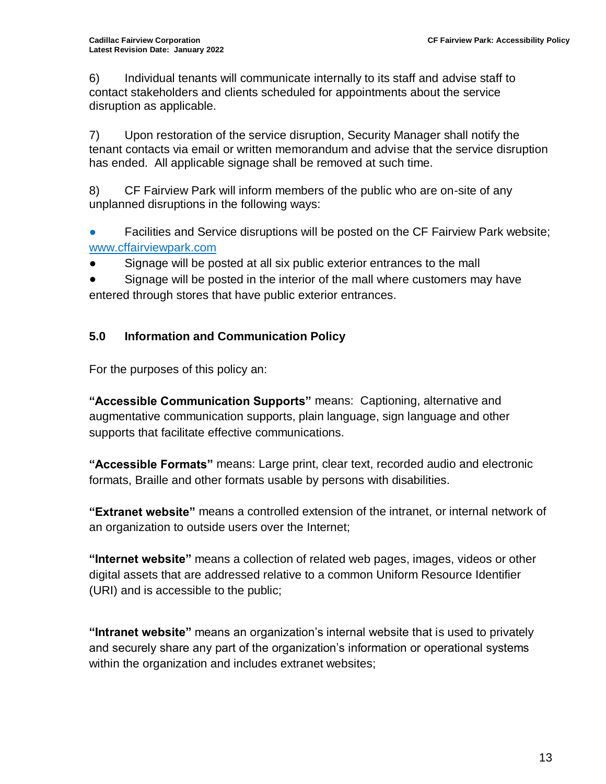6) Individual tenants will communicate internally to its staff and advise staff to contact stakeholders and clients scheduled for appointments about the service disruption as applicable.

7) Upon restoration of the service disruption, Security Manager shall notify the tenant contacts via email or written memorandum and advise that the service disruption has ended. All applicable signage shall be removed at such time.

8) CF Fairview Park will inform members of the public who are on-site of any unplanned disruptions in the following ways:

● Facilities and Service disruptions will be posted on the CF Fairview Park website; www.cffairviewpark.com

Signage will be posted at all six public exterior entrances to the mall

● Signage will be posted in the interior of the mall where customers may have entered through stores that have public exterior entrances.

# **5.0 Information and Communication Policy**

For the purposes of this policy an:

**"Accessible Communication Supports"** means: Captioning, alternative and augmentative communication supports, plain language, sign language and other supports that facilitate effective communications.

**"Accessible Formats"** means: Large print, clear text, recorded audio and electronic formats, Braille and other formats usable by persons with disabilities.

**"Extranet website"** means a controlled extension of the intranet, or internal network of an organization to outside users over the Internet;

**"Internet website"** means a collection of related web pages, images, videos or other digital assets that are addressed relative to a common Uniform Resource Identifier (URI) and is accessible to the public;

**"Intranet website"** means an organization's internal website that is used to privately and securely share any part of the organization's information or operational systems within the organization and includes extranet websites;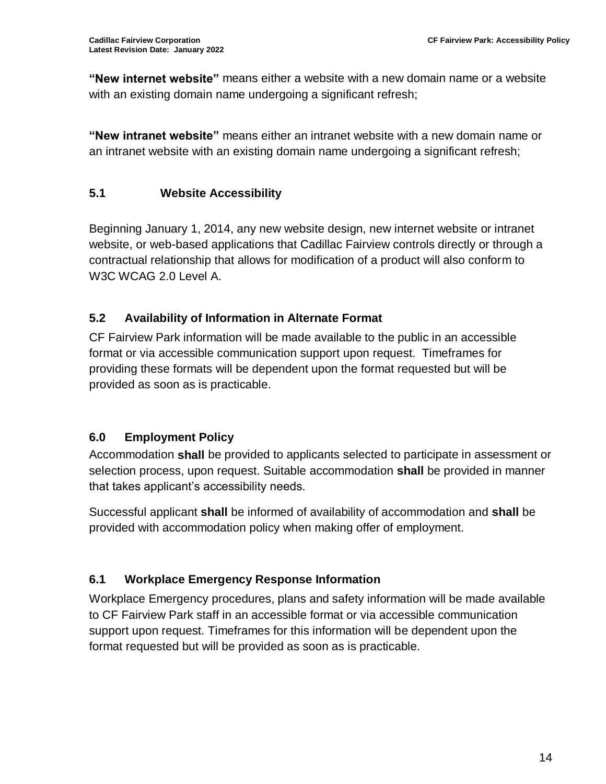**"New internet website"** means either a website with a new domain name or a website with an existing domain name undergoing a significant refresh;

**"New intranet website"** means either an intranet website with a new domain name or an intranet website with an existing domain name undergoing a significant refresh;

# **5.1 Website Accessibility**

Beginning January 1, 2014, any new website design, new internet website or intranet website, or web-based applications that Cadillac Fairview controls directly or through a contractual relationship that allows for modification of a product will also conform to W3C WCAG 2.0 Level A.

# **5.2 Availability of Information in Alternate Format**

CF Fairview Park information will be made available to the public in an accessible format or via accessible communication support upon request. Timeframes for providing these formats will be dependent upon the format requested but will be provided as soon as is practicable.

# <span id="page-13-0"></span>**6.0 Employment Policy**

Accommodation **shall** be provided to applicants selected to participate in assessment or selection process, upon request. Suitable accommodation **shall** be provided in manner that takes applicant's accessibility needs.

Successful applicant **shall** be informed of availability of accommodation and **shall** be provided with accommodation policy when making offer of employment.

# **6.1 Workplace Emergency Response Information**

Workplace Emergency procedures, plans and safety information will be made available to CF Fairview Park staff in an accessible format or via accessible communication support upon request. Timeframes for this information will be dependent upon the format requested but will be provided as soon as is practicable.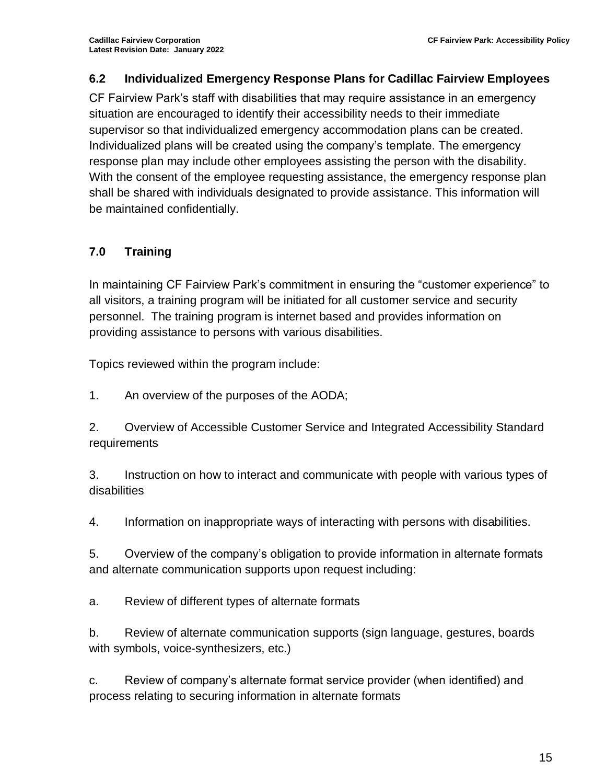# **6.2 Individualized Emergency Response Plans for Cadillac Fairview Employees**

CF Fairview Park's staff with disabilities that may require assistance in an emergency situation are encouraged to identify their accessibility needs to their immediate supervisor so that individualized emergency accommodation plans can be created. Individualized plans will be created using the company's template. The emergency response plan may include other employees assisting the person with the disability. With the consent of the employee requesting assistance, the emergency response plan shall be shared with individuals designated to provide assistance. This information will be maintained confidentially.

# **7.0 Training**

In maintaining CF Fairview Park's commitment in ensuring the "customer experience" to all visitors, a training program will be initiated for all customer service and security personnel. The training program is internet based and provides information on providing assistance to persons with various disabilities.

Topics reviewed within the program include:

1. An overview of the purposes of the AODA;

2. Overview of Accessible Customer Service and Integrated Accessibility Standard requirements

3. Instruction on how to interact and communicate with people with various types of disabilities

4. Information on inappropriate ways of interacting with persons with disabilities.

5. Overview of the company's obligation to provide information in alternate formats and alternate communication supports upon request including:

a. Review of different types of alternate formats

b. Review of alternate communication supports (sign language, gestures, boards with symbols, voice-synthesizers, etc.)

c. Review of company's alternate format service provider (when identified) and process relating to securing information in alternate formats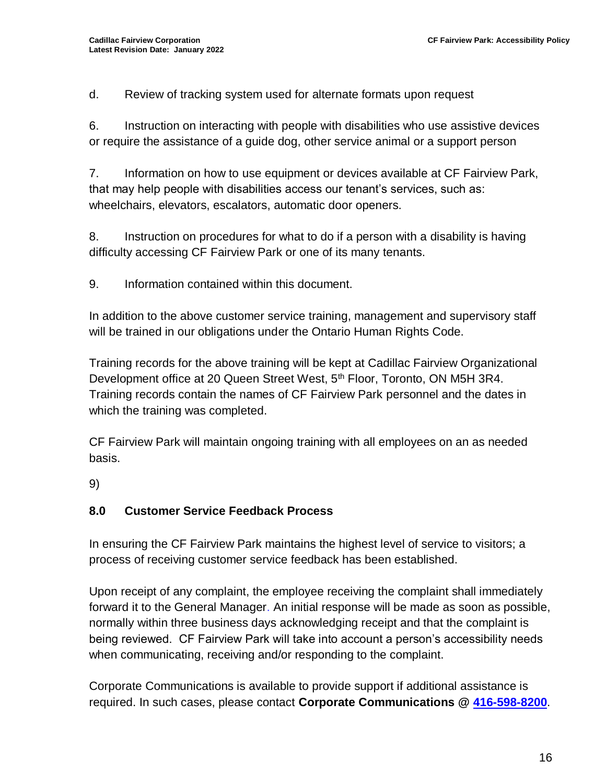d. Review of tracking system used for alternate formats upon request

6. Instruction on interacting with people with disabilities who use assistive devices or require the assistance of a guide dog, other service animal or a support person

7. Information on how to use equipment or devices available at CF Fairview Park, that may help people with disabilities access our tenant's services, such as: wheelchairs, elevators, escalators, automatic door openers.

8. Instruction on procedures for what to do if a person with a disability is having difficulty accessing CF Fairview Park or one of its many tenants.

9. Information contained within this document.

In addition to the above customer service training, management and supervisory staff will be trained in our obligations under the Ontario Human Rights Code.

Training records for the above training will be kept at Cadillac Fairview Organizational Development office at 20 Queen Street West, 5<sup>th</sup> Floor, Toronto, ON M5H 3R4. Training records contain the names of CF Fairview Park personnel and the dates in which the training was completed.

CF Fairview Park will maintain ongoing training with all employees on an as needed basis.

9)

# **8.0 Customer Service Feedback Process**

In ensuring the CF Fairview Park maintains the highest level of service to visitors; a process of receiving customer service feedback has been established.

Upon receipt of any complaint, the employee receiving the complaint shall immediately forward it to the General Manager. An initial response will be made as soon as possible, normally within three business days acknowledging receipt and that the complaint is being reviewed. CF Fairview Park will take into account a person's accessibility needs when communicating, receiving and/or responding to the complaint.

Corporate Communications is available to provide support if additional assistance is required. In such cases, please contact **Corporate Communications @ [416-598-8200](about:blank)**.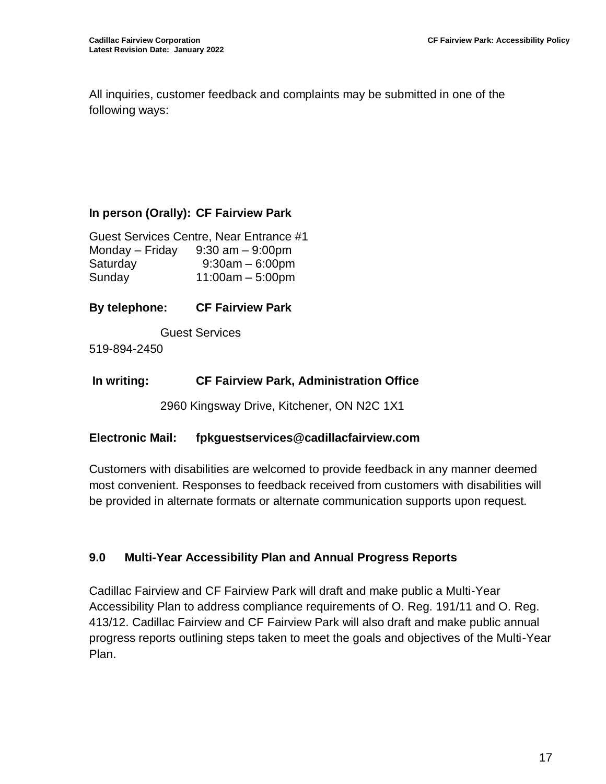All inquiries, customer feedback and complaints may be submitted in one of the following ways:

### **In person (Orally): CF Fairview Park**

Guest Services Centre, Near Entrance #1 Monday – Friday  $9:30$  am –  $9:00$ pm Saturday 9:30am – 6:00pm Sunday 11:00am – 5:00pm

**By telephone: CF Fairview Park**

Guest Services

519-894-2450

#### **In writing: CF Fairview Park, Administration Office**

2960 Kingsway Drive, Kitchener, ON N2C 1X1

#### **Electronic Mail: fpkguestservices@cadillacfairview.com**

Customers with disabilities are welcomed to provide feedback in any manner deemed most convenient. Responses to feedback received from customers with disabilities will be provided in alternate formats or alternate communication supports upon request.

### **9.0 Multi-Year Accessibility Plan and Annual Progress Reports**

Cadillac Fairview and CF Fairview Park will draft and make public a Multi-Year Accessibility Plan to address compliance requirements of O. Reg. 191/11 and O. Reg. 413/12. Cadillac Fairview and CF Fairview Park will also draft and make public annual progress reports outlining steps taken to meet the goals and objectives of the Multi-Year Plan.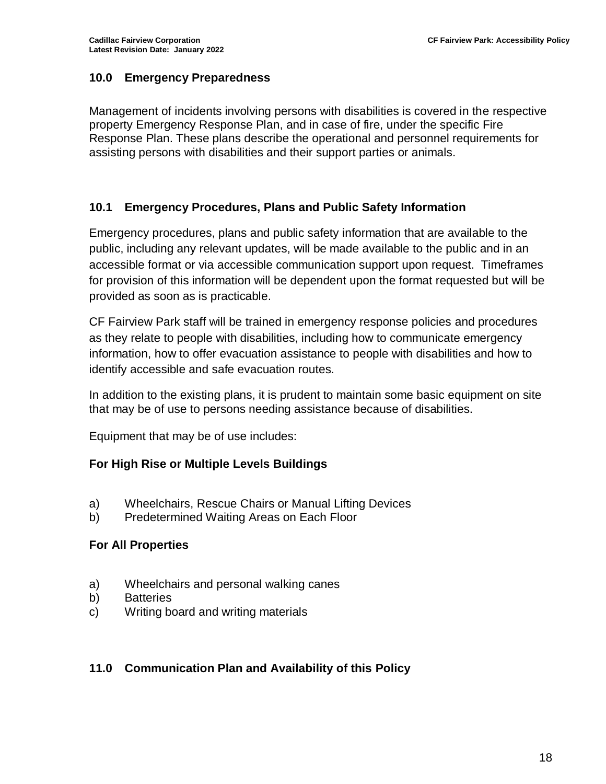## **10.0 Emergency Preparedness**

Management of incidents involving persons with disabilities is covered in the respective property Emergency Response Plan, and in case of fire, under the specific Fire Response Plan. These plans describe the operational and personnel requirements for assisting persons with disabilities and their support parties or animals.

### **10.1 Emergency Procedures, Plans and Public Safety Information**

Emergency procedures, plans and public safety information that are available to the public, including any relevant updates, will be made available to the public and in an accessible format or via accessible communication support upon request. Timeframes for provision of this information will be dependent upon the format requested but will be provided as soon as is practicable.

CF Fairview Park staff will be trained in emergency response policies and procedures as they relate to people with disabilities, including how to communicate emergency information, how to offer evacuation assistance to people with disabilities and how to identify accessible and safe evacuation routes.

In addition to the existing plans, it is prudent to maintain some basic equipment on site that may be of use to persons needing assistance because of disabilities.

Equipment that may be of use includes:

### **For High Rise or Multiple Levels Buildings**

- a) Wheelchairs, Rescue Chairs or Manual Lifting Devices
- b) Predetermined Waiting Areas on Each Floor

### **For All Properties**

- a) Wheelchairs and personal walking canes
- b) Batteries
- c) Writing board and writing materials

### **11.0 Communication Plan and Availability of this Policy**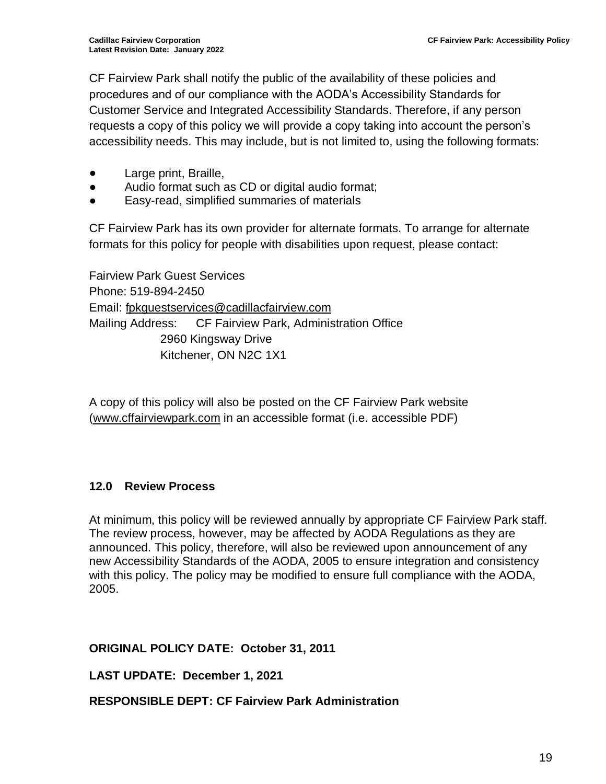CF Fairview Park shall notify the public of the availability of these policies and procedures and of our compliance with the AODA's Accessibility Standards for Customer Service and Integrated Accessibility Standards. Therefore, if any person requests a copy of this policy we will provide a copy taking into account the person's accessibility needs. This may include, but is not limited to, using the following formats:

- Large print, Braille,
- Audio format such as CD or digital audio format;
- Easy-read, simplified summaries of materials

CF Fairview Park has its own provider for alternate formats. To arrange for alternate formats for this policy for people with disabilities upon request, please contact:

Fairview Park Guest Services Phone: 519-894-2450 Email: [fpkguestservices@cadillacfairview.com](mailto:fpkguestservices@cadillacfairview.com) Mailing Address: CF Fairview Park, Administration Office 2960 Kingsway Drive Kitchener, ON N2C 1X1

A copy of this policy will also be posted on the CF Fairview Park website (www.cffairviewpark.com in an accessible format (i.e. accessible PDF)

# **12.0 Review Process**

At minimum, this policy will be reviewed annually by appropriate CF Fairview Park staff. The review process, however, may be affected by AODA Regulations as they are announced. This policy, therefore, will also be reviewed upon announcement of any new Accessibility Standards of the AODA, 2005 to ensure integration and consistency with this policy. The policy may be modified to ensure full compliance with the AODA, 2005.

### **ORIGINAL POLICY DATE: October 31, 2011**

**LAST UPDATE: December 1, 2021**

**RESPONSIBLE DEPT: CF Fairview Park Administration**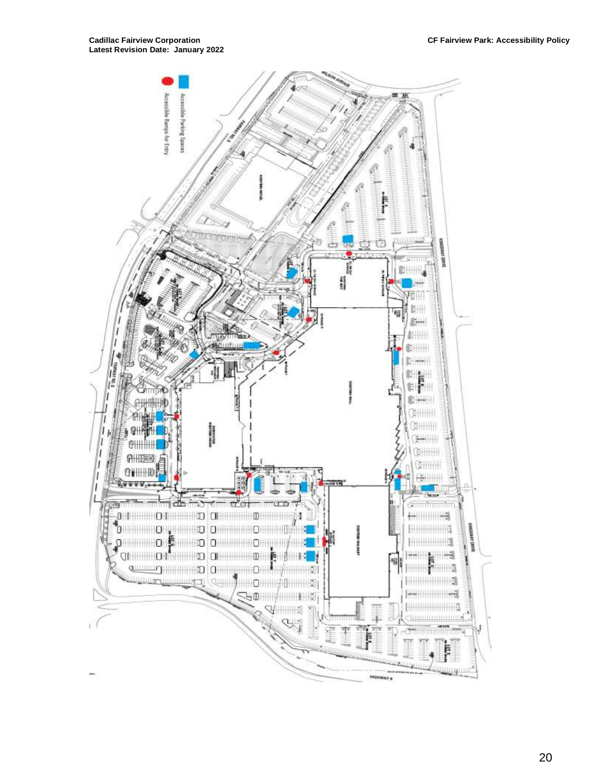